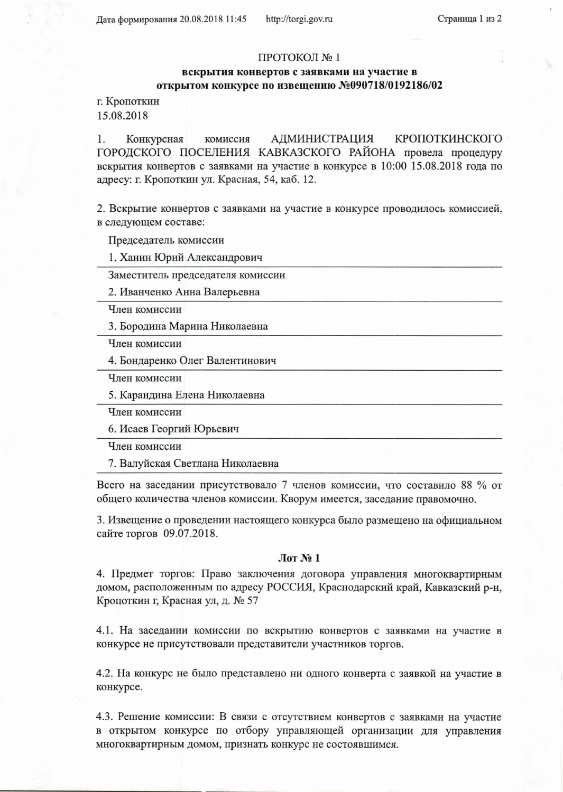## ПРОТОКОЛ №1

## вскрытия конвертов с заявками на участие в открытом конкурсе по извещению №090718/0192186/02

г. Кропоткин 15.08.2018

АДМИНИСТРАЦИЯ КРОПОТКИНСКОГО 1. Конкурсная комиссия ГОРОДСКОГО ПОСЕЛЕНИЯ КАВКАЗСКОГО РАЙОНА провела процедуру вскрытия конвертов с заявками на участие в конкурсе в 10:00 15.08.2018 года по адресу: г. Кропоткин ул. Красная, 54, каб. 12.

2. Вскрытие конвертов с заявками на участие в конкурсе проводилось комиссией. в следующем составе:

Председатель комиссии

1. Ханин Юрий Александрович

Заместитель председателя комиссии

2. Иванченко Анна Валерьевна

Член комиссии

3. Бородина Марина Николаевна

Член комиссии

4. Бондаренко Олег Валентинович

Член комиссии

5. Карандина Елена Николаевна

Член комиссии

6. Исаев Георгий Юрьевич

Член комиссии

7. Валуйская Светлана Николаевна

Всего на заседании присутствовало 7 членов комиссии, что составило 88 % от общего количества членов комиссии. Кворум имеется, заседание правомочно.

3. Извещение о проведении настоящего конкурса было размещено на официальном сайте торгов 09.07.2018.

## $\pi N_2$  1

4. Предмет торгов: Право заключения договора управления многоквартирным домом, расположенным по адресу РОССИЯ, Краснодарский край, Кавказский р-н. Кропоткин г, Красная ул, д. № 57

4.1. На заседании комиссии по вскрытию конвертов с заявками на участие в конкурсе не присутствовали представители участников торгов.

4.2. На конкурс не было представлено ни одного конверта с заявкой на участие в конкурсе.

4.3. Решение комиссии: В связи с отсутствием конвертов с заявками на участие в открытом конкурсе по отбору управляющей организации для управления многоквартирным домом, признать конкурс не состоявшимся.